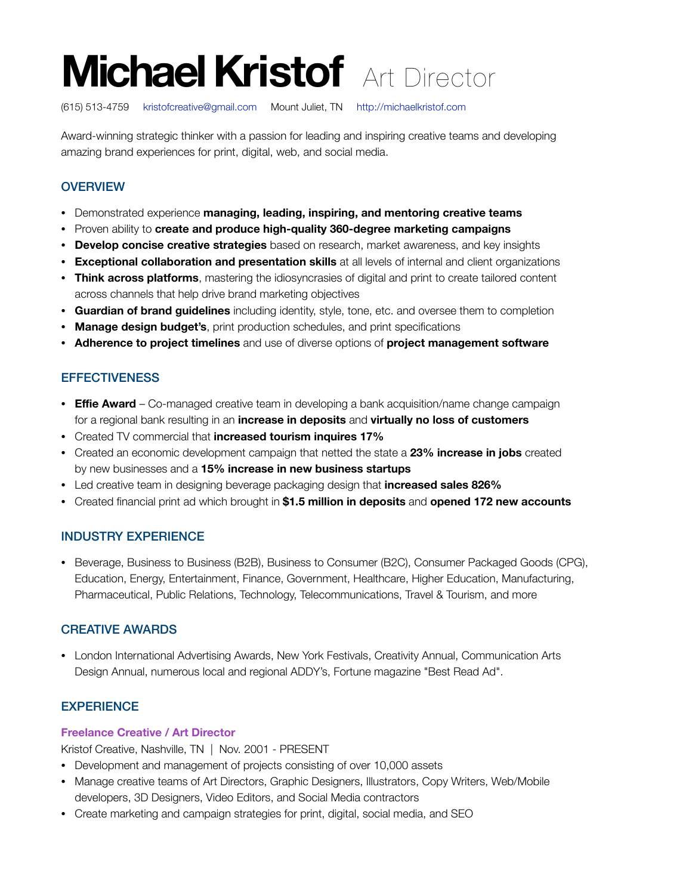# **Michael Kristof** Art Director

(615) 513-4759 [kristofcreative@gmail.com](mailto:kristofcreative@gmail.com?subject=Art%20Director%20Position) Mount Juliet, TN <http://michaelkristof.com>

Award-winning strategic thinker with a passion for leading and inspiring creative teams and developing amazing brand experiences for print, digital, web, and social media.

## **OVERVIEW**

- Demonstrated experience **managing, leading, inspiring, and mentoring creative teams**
- Proven ability to **create and produce high-quality 360-degree marketing campaigns**
- **Develop concise creative strategies** based on research, market awareness, and key insights
- **Exceptional collaboration and presentation skills** at all levels of internal and client organizations
- **Think across platforms**, mastering the idiosyncrasies of digital and print to create tailored content across channels that help drive brand marketing objectives
- **Guardian of brand guidelines** including identity, style, tone, etc. and oversee them to completion
- **Manage design budget's**, print production schedules, and print specifications
- **Adherence to project timelines** and use of diverse options of **project management software**

## **EFFECTIVENESS**

- **Effie Award**  Co-managed creative team in developing a bank acquisition/name change campaign for a regional bank resulting in an **increase in deposits** and **virtually no loss of customers**
- Created TV commercial that **increased tourism inquires 17%**
- Created an economic development campaign that netted the state a **23% increase in jobs** created by new businesses and a **15% increase in new business startups**
- Led creative team in designing beverage packaging design that **increased sales 826%**
- Created financial print ad which brought in **\$1.5 million in deposits** and **opened 172 new accounts**

## INDUSTRY EXPERIENCE

• Beverage, Business to Business (B2B), Business to Consumer (B2C), Consumer Packaged Goods (CPG), Education, Energy, Entertainment, Finance, Government, Healthcare, Higher Education, Manufacturing, Pharmaceutical, Public Relations, Technology, Telecommunications, Travel & Tourism, and more

#### CREATIVE AWARDS

• London International Advertising Awards, New York Festivals, Creativity Annual, Communication Arts Design Annual, numerous local and regional ADDY's, Fortune magazine "Best Read Ad".

## **EXPERIENCE**

#### **Freelance Creative / Art Director**

Kristof Creative, Nashville, TN | Nov. 2001 - PRESENT

- Development and management of projects consisting of over 10,000 assets
- Manage creative teams of Art Directors, Graphic Designers, Illustrators, Copy Writers, Web/Mobile developers, 3D Designers, Video Editors, and Social Media contractors
- Create marketing and campaign strategies for print, digital, social media, and SEO